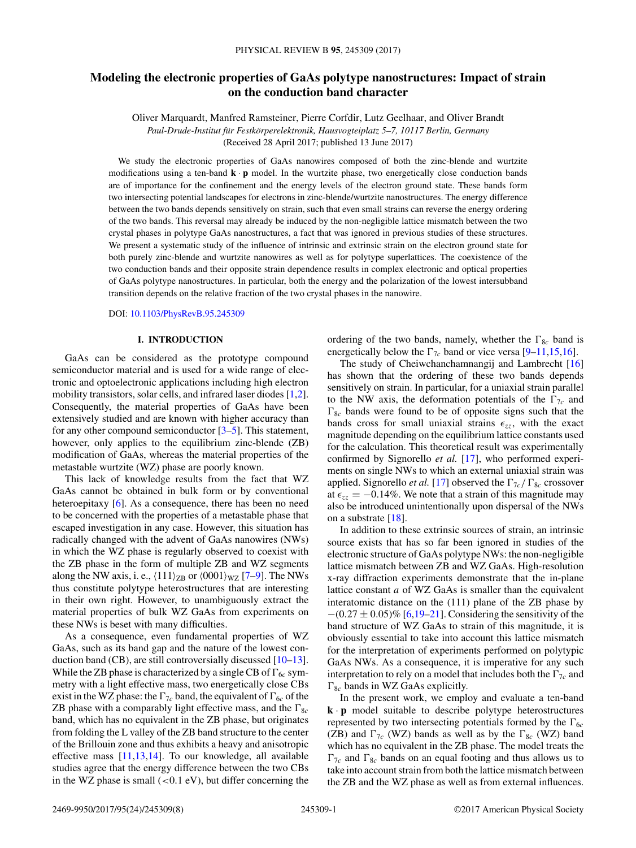# **Modeling the electronic properties of GaAs polytype nanostructures: Impact of strain on the conduction band character**

Oliver Marquardt, Manfred Ramsteiner, Pierre Corfdir, Lutz Geelhaar, and Oliver Brandt *Paul-Drude-Institut für Festkörperelektronik, Hausvogteiplatz 5–7, 10117 Berlin, Germany* (Received 28 April 2017; published 13 June 2017)

We study the electronic properties of GaAs nanowires composed of both the zinc-blende and wurtzite modifications using a ten-band **k** · **p** model. In the wurtzite phase, two energetically close conduction bands are of importance for the confinement and the energy levels of the electron ground state. These bands form two intersecting potential landscapes for electrons in zinc-blende/wurtzite nanostructures. The energy difference between the two bands depends sensitively on strain, such that even small strains can reverse the energy ordering of the two bands. This reversal may already be induced by the non-negligible lattice mismatch between the two crystal phases in polytype GaAs nanostructures, a fact that was ignored in previous studies of these structures. We present a systematic study of the influence of intrinsic and extrinsic strain on the electron ground state for both purely zinc-blende and wurtzite nanowires as well as for polytype superlattices. The coexistence of the two conduction bands and their opposite strain dependence results in complex electronic and optical properties of GaAs polytype nanostructures. In particular, both the energy and the polarization of the lowest intersubband transition depends on the relative fraction of the two crystal phases in the nanowire.

DOI: 10.1103/PhysRevB.95.245309

## **I. INTRODUCTION**

GaAs can be considered as the prototype compound semiconductor material and is used for a wide range of electronic and optoelectronic applications including high electron mobility transistors, solar cells, and infrared laser diodes [1,2]. Consequently, the material properties of GaAs have been extensively studied and are known with higher accuracy than for any other compound semiconductor [3–5]. This statement, however, only applies to the equilibrium zinc-blende (ZB) modification of GaAs, whereas the material properties of the metastable wurtzite (WZ) phase are poorly known.

This lack of knowledge results from the fact that WZ GaAs cannot be obtained in bulk form or by conventional heteroepitaxy [6]. As a consequence, there has been no need to be concerned with the properties of a metastable phase that escaped investigation in any case. However, this situation has radically changed with the advent of GaAs nanowires (NWs) in which the WZ phase is regularly observed to coexist with the ZB phase in the form of multiple ZB and WZ segments along the NW axis, i. e.,  $\langle 111 \rangle_{\text{ZB}}$  or  $\langle 0001 \rangle_{\text{WZ}}$  [7–9]. The NWs thus constitute polytype heterostructures that are interesting in their own right. However, to unambiguously extract the material properties of bulk WZ GaAs from experiments on these NWs is beset with many difficulties.

As a consequence, even fundamental properties of WZ GaAs, such as its band gap and the nature of the lowest conduction band (CB), are still controversially discussed [10–13]. While the ZB phase is characterized by a single CB of  $\Gamma_{6c}$  symmetry with a light effective mass, two energetically close CBs exist in the WZ phase: the  $\Gamma_{7c}$  band, the equivalent of  $\Gamma_{6c}$  of the ZB phase with a comparably light effective mass, and the  $\Gamma_{8c}$ band, which has no equivalent in the ZB phase, but originates from folding the L valley of the ZB band structure to the center of the Brillouin zone and thus exhibits a heavy and anisotropic effective mass [11,13,14]. To our knowledge, all available studies agree that the energy difference between the two CBs in the WZ phase is small (*<*0*.*1 eV), but differ concerning the ordering of the two bands, namely, whether the  $\Gamma_{8c}$  band is energetically below the  $\Gamma_{7c}$  band or vice versa [9–11,15,16].

The study of Cheiwchanchamnangij and Lambrecht [16] has shown that the ordering of these two bands depends sensitively on strain. In particular, for a uniaxial strain parallel to the NW axis, the deformation potentials of the  $\Gamma_{7c}$  and  $\Gamma_{8c}$  bands were found to be of opposite signs such that the bands cross for small uniaxial strains  $\epsilon_{zz}$ , with the exact magnitude depending on the equilibrium lattice constants used for the calculation. This theoretical result was experimentally confirmed by Signorello *et al.* [17], who performed experiments on single NWs to which an external uniaxial strain was applied. Signorello *et al.* [17] observed the  $\Gamma_{7c}/\Gamma_{8c}$  crossover at  $\epsilon_{zz} = -0.14\%$ . We note that a strain of this magnitude may also be introduced unintentionally upon dispersal of the NWs on a substrate [18].

In addition to these extrinsic sources of strain, an intrinsic source exists that has so far been ignored in studies of the electronic structure of GaAs polytype NWs: the non-negligible lattice mismatch between ZB and WZ GaAs. High-resolution x-ray diffraction experiments demonstrate that the in-plane lattice constant *a* of WZ GaAs is smaller than the equivalent interatomic distance on the (111) plane of the ZB phase by −(0*.*27 ± 0*.*05)% [6,19–21]. Considering the sensitivity of the band structure of WZ GaAs to strain of this magnitude, it is obviously essential to take into account this lattice mismatch for the interpretation of experiments performed on polytypic GaAs NWs. As a consequence, it is imperative for any such interpretation to rely on a model that includes both the  $\Gamma_{7c}$  and  $\Gamma_{8c}$  bands in WZ GaAs explicitly.

In the present work, we employ and evaluate a ten-band **k** · **p** model suitable to describe polytype heterostructures represented by two intersecting potentials formed by the  $\Gamma_{6c}$ (ZB) and  $\Gamma_{7c}$  (WZ) bands as well as by the  $\Gamma_{8c}$  (WZ) band which has no equivalent in the ZB phase. The model treats the  $\Gamma_{7c}$  and  $\Gamma_{8c}$  bands on an equal footing and thus allows us to take into account strain from both the lattice mismatch between the ZB and the WZ phase as well as from external influences.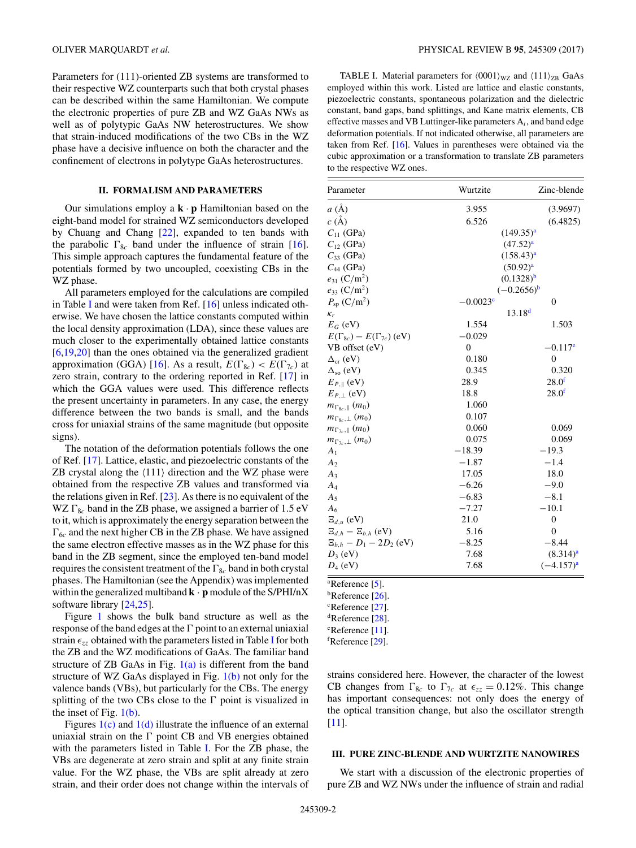Parameters for (111)-oriented ZB systems are transformed to their respective WZ counterparts such that both crystal phases can be described within the same Hamiltonian. We compute the electronic properties of pure ZB and WZ GaAs NWs as well as of polytypic GaAs NW heterostructures. We show that strain-induced modifications of the two CBs in the WZ phase have a decisive influence on both the character and the confinement of electrons in polytype GaAs heterostructures.

## **II. FORMALISM AND PARAMETERS**

Our simulations employ a  $\mathbf{k} \cdot \mathbf{p}$  Hamiltonian based on the eight-band model for strained WZ semiconductors developed by Chuang and Chang [22], expanded to ten bands with the parabolic  $\Gamma_{8c}$  band under the influence of strain [16]. This simple approach captures the fundamental feature of the potentials formed by two uncoupled, coexisting CBs in the WZ phase.

All parameters employed for the calculations are compiled in Table I and were taken from Ref.  $[16]$  unless indicated otherwise. We have chosen the lattice constants computed within the local density approximation (LDA), since these values are much closer to the experimentally obtained lattice constants [6,19,20] than the ones obtained via the generalized gradient approximation (GGA) [16]. As a result,  $E(\Gamma_{8c}) < E(\Gamma_{7c})$  at zero strain, contrary to the ordering reported in Ref. [17] in which the GGA values were used. This difference reflects the present uncertainty in parameters. In any case, the energy difference between the two bands is small, and the bands cross for uniaxial strains of the same magnitude (but opposite signs).

The notation of the deformation potentials follows the one of Ref. [17]. Lattice, elastic, and piezoelectric constants of the ZB crystal along the  $\langle 111 \rangle$  direction and the WZ phase were obtained from the respective ZB values and transformed via the relations given in Ref. [23]. As there is no equivalent of the WZ  $\Gamma_{8c}$  band in the ZB phase, we assigned a barrier of 1.5 eV to it, which is approximately the energy separation between the  $\Gamma_{6c}$  and the next higher CB in the ZB phase. We have assigned the same electron effective masses as in the WZ phase for this band in the ZB segment, since the employed ten-band model requires the consistent treatment of the  $\Gamma_{8c}$  band in both crystal phases. The Hamiltonian (see the Appendix) was implemented within the generalized multiband **k** · **p** module of the S/PHI/nX software library [24,25].

Figure 1 shows the bulk band structure as well as the response of the band edges at the  $\Gamma$  point to an external uniaxial strain  $\epsilon_{zz}$  obtained with the parameters listed in Table I for both the ZB and the WZ modifications of GaAs. The familiar band structure of ZB GaAs in Fig.  $1(a)$  is different from the band structure of WZ GaAs displayed in Fig.  $1(b)$  not only for the valence bands (VBs), but particularly for the CBs. The energy splitting of the two CBs close to the  $\Gamma$  point is visualized in the inset of Fig.  $1(b)$ .

Figures  $1(c)$  and  $1(d)$  illustrate the influence of an external uniaxial strain on the  $\Gamma$  point CB and VB energies obtained with the parameters listed in Table I. For the ZB phase, the VBs are degenerate at zero strain and split at any finite strain value. For the WZ phase, the VBs are split already at zero strain, and their order does not change within the intervals of

TABLE I. Material parameters for  $\langle 0001 \rangle_{\text{WZ}}$  and  $\langle 111 \rangle_{\text{ZB}}$  GaAs employed within this work. Listed are lattice and elastic constants, piezoelectric constants, spontaneous polarization and the dielectric constant, band gaps, band splittings, and Kane matrix elements, CB effective masses and VB Luttinger-like parameters A*i*, and band edge deformation potentials. If not indicated otherwise, all parameters are taken from Ref. [16]. Values in parentheses were obtained via the cubic approximation or a transformation to translate ZB parameters to the respective WZ ones.

| Parameter                            | Wurtzite   | Zinc-blende           |
|--------------------------------------|------------|-----------------------|
| $a(\AA)$                             | 3.955      | (3.9697)              |
| $c(\AA)$                             | 6.526      | (6.4825)              |
| $C_{11}$ (GPa)                       |            | $(149.35)^{a}$        |
| $C_{12}$ (GPa)                       |            | $(47.52)^{a}$         |
| $C_{33}$ (GPa)                       |            | $(158.43)^{a}$        |
| $C_{44}$ (GPa)                       |            | $(50.92)^{a}$         |
| $e_{31}$ (C/m <sup>2</sup> )         |            | $(0.1328)^{b}$        |
| $e_{33}$ (C/m <sup>2</sup> )         |            | $(-0.2656)^{b}$       |
| $P_{\rm SD}$ (C/m <sup>2</sup> )     | $-0.0023c$ | $\overline{0}$        |
| $K_r$                                |            | 13.18 <sup>d</sup>    |
| $E_G$ (eV)                           | 1.554      | 1.503                 |
| $E(\Gamma_{8c})-E(\Gamma_{7c})$ (eV) | $-0.029$   |                       |
| VB offset (eV)                       | $\theta$   | $-0.117$ <sup>e</sup> |
| $\Delta_{\rm cr}$ (eV)               | 0.180      | $\mathbf{0}$          |
| $\Delta_{so}$ (eV)                   | 0.345      | 0.320                 |
| $E_{P,\parallel}$ (eV)               | 28.9       | 28.0 <sup>f</sup>     |
| $E_{P,\perp}$ (eV)                   | 18.8       | 28.0 <sup>f</sup>     |
| $m_{\Gamma_{8c},\parallel}(m_0)$     | 1.060      |                       |
| $m_{\Gamma_{8c},\perp}(m_0)$         | 0.107      |                       |
| $m_{\Gamma_{7c},\parallel}(m_0)$     | 0.060      | 0.069                 |
| $m_{\Gamma_{7c},\perp}(m_0)$         | 0.075      | 0.069                 |
| $A_1$                                | $-18.39$   | $-19.3$               |
| A <sub>2</sub>                       | $-1.87$    | $-1.4$                |
| $A_3$                                | 17.05      | 18.0                  |
| $A_4$                                | $-6.26$    | $-9.0$                |
| $A_5$                                | $-6.83$    | $-8.1$                |
| $A_6$                                | $-7.27$    | $-10.1$               |
| $\Xi_{d,u}$ (eV)                     | 21.0       | $\boldsymbol{0}$      |
| $\Xi_{d,h} - \Xi_{b,h}$ (eV)         | 5.16       | $\theta$              |
| $E_{b,h} - D_1 - 2D_2$ (eV)          | $-8.25$    | $-8.44$               |
| $D_3$ (eV)                           | 7.68       | (8.314) <sup>a</sup>  |
| $D_4$ (eV)                           | 7.68       | $(-4.157)^{a}$        |

a Reference [5].

bReference [26].

<sup>c</sup>Reference [27].

 ${}^{\text{d}}$ Reference [28].

e Reference [11].

fReference [29].

strains considered here. However, the character of the lowest CB changes from  $\Gamma_{8c}$  to  $\Gamma_{7c}$  at  $\epsilon_{zz} = 0.12\%$ . This change has important consequences: not only does the energy of the optical transition change, but also the oscillator strength [11].

### **III. PURE ZINC-BLENDE AND WURTZITE NANOWIRES**

We start with a discussion of the electronic properties of pure ZB and WZ NWs under the influence of strain and radial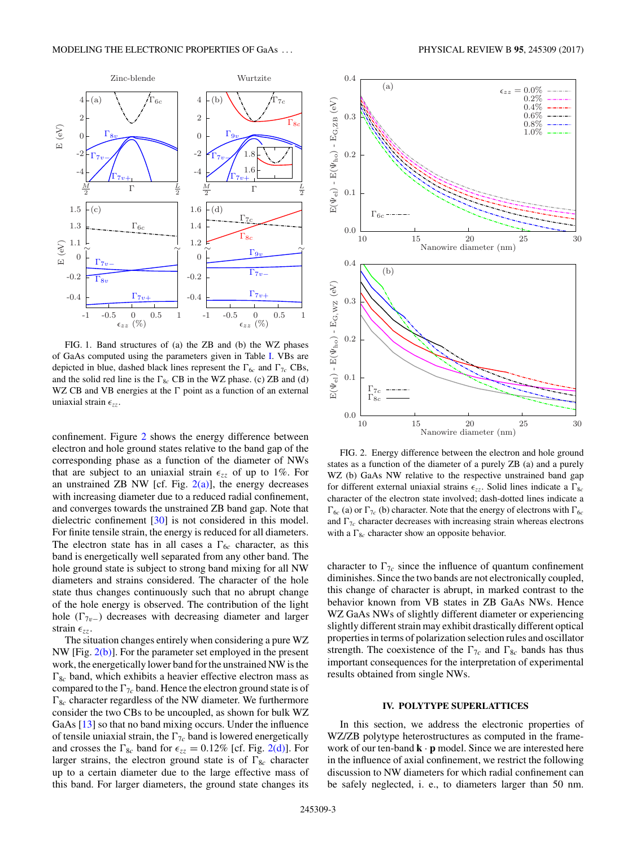

FIG. 1. Band structures of (a) the ZB and (b) the WZ phases of GaAs computed using the parameters given in Table I. VBs are depicted in blue, dashed black lines represent the  $\Gamma_{6c}$  and  $\Gamma_{7c}$  CBs, and the solid red line is the  $\Gamma_{8c}$  CB in the WZ phase. (c) ZB and (d) WZ CB and VB energies at the  $\Gamma$  point as a function of an external uniaxial strain  $\epsilon_{zz}$ .

confinement. Figure 2 shows the energy difference between electron and hole ground states relative to the band gap of the corresponding phase as a function of the diameter of NWs that are subject to an uniaxial strain  $\epsilon_{zz}$  of up to 1%. For an unstrained ZB NW [cf. Fig.  $2(a)$ ], the energy decreases with increasing diameter due to a reduced radial confinement, and converges towards the unstrained ZB band gap. Note that dielectric confinement [30] is not considered in this model. For finite tensile strain, the energy is reduced for all diameters. The electron state has in all cases a  $\Gamma_{6c}$  character, as this band is energetically well separated from any other band. The hole ground state is subject to strong band mixing for all NW diameters and strains considered. The character of the hole state thus changes continuously such that no abrupt change of the hole energy is observed. The contribution of the light hole  $(\Gamma_{7v-})$  decreases with decreasing diameter and larger strain  $\epsilon_{zz}$ .

The situation changes entirely when considering a pure WZ NW [Fig. 2(b)]. For the parameter set employed in the present work, the energetically lower band for the unstrained NW is the  $\Gamma_{8c}$  band, which exhibits a heavier effective electron mass as compared to the  $\Gamma_{7c}$  band. Hence the electron ground state is of  $\Gamma_{8c}$  character regardless of the NW diameter. We furthermore consider the two CBs to be uncoupled, as shown for bulk WZ GaAs [13] so that no band mixing occurs. Under the influence of tensile uniaxial strain, the  $\Gamma_{7c}$  band is lowered energetically and crosses the  $\Gamma_{8c}$  band for  $\epsilon_{zz} = 0.12\%$  [cf. Fig. 2(d)]. For larger strains, the electron ground state is of  $\Gamma_{8c}$  character up to a certain diameter due to the large effective mass of this band. For larger diameters, the ground state changes its



FIG. 2. Energy difference between the electron and hole ground states as a function of the diameter of a purely ZB (a) and a purely WZ (b) GaAs NW relative to the respective unstrained band gap for different external uniaxial strains  $\epsilon_{zz}$ . Solid lines indicate a  $\Gamma_{8c}$ character of the electron state involved; dash-dotted lines indicate a  $\Gamma_{6c}$  (a) or  $\Gamma_{7c}$  (b) character. Note that the energy of electrons with  $\Gamma_{6c}$ and  $\Gamma_{7c}$  character decreases with increasing strain whereas electrons with a  $\Gamma_{8c}$  character show an opposite behavior.

character to  $\Gamma_{7c}$  since the influence of quantum confinement diminishes. Since the two bands are not electronically coupled, this change of character is abrupt, in marked contrast to the behavior known from VB states in ZB GaAs NWs. Hence WZ GaAs NWs of slightly different diameter or experiencing slightly different strain may exhibit drastically different optical properties in terms of polarization selection rules and oscillator strength. The coexistence of the  $\Gamma_{7c}$  and  $\Gamma_{8c}$  bands has thus important consequences for the interpretation of experimental results obtained from single NWs.

## **IV. POLYTYPE SUPERLATTICES**

In this section, we address the electronic properties of WZ/ZB polytype heterostructures as computed in the framework of our ten-band **k** · **p** model. Since we are interested here in the influence of axial confinement, we restrict the following discussion to NW diameters for which radial confinement can be safely neglected, i. e., to diameters larger than 50 nm.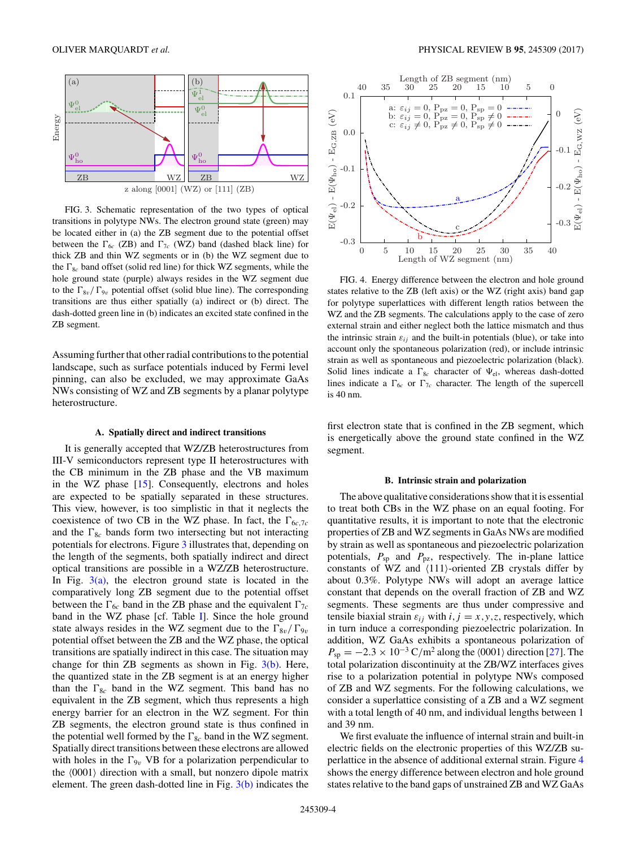

FIG. 3. Schematic representation of the two types of optical transitions in polytype NWs. The electron ground state (green) may be located either in (a) the ZB segment due to the potential offset between the  $\Gamma_{6c}$  (ZB) and  $\Gamma_{7c}$  (WZ) band (dashed black line) for thick ZB and thin WZ segments or in (b) the WZ segment due to the  $\Gamma_{8c}$  band offset (solid red line) for thick WZ segments, while the hole ground state (purple) always resides in the WZ segment due to the  $\Gamma_{8v}/\Gamma_{9v}$  potential offset (solid blue line). The corresponding transitions are thus either spatially (a) indirect or (b) direct. The dash-dotted green line in (b) indicates an excited state confined in the ZB segment.

Assuming further that other radial contributions to the potential landscape, such as surface potentials induced by Fermi level pinning, can also be excluded, we may approximate GaAs NWs consisting of WZ and ZB segments by a planar polytype heterostructure.

#### **A. Spatially direct and indirect transitions**

It is generally accepted that WZ/ZB heterostructures from III-V semiconductors represent type II heterostructures with the CB minimum in the ZB phase and the VB maximum in the WZ phase [15]. Consequently, electrons and holes are expected to be spatially separated in these structures. This view, however, is too simplistic in that it neglects the coexistence of two CB in the WZ phase. In fact, the  $\Gamma_{6c,7c}$ and the  $\Gamma_{8c}$  bands form two intersecting but not interacting potentials for electrons. Figure 3 illustrates that, depending on the length of the segments, both spatially indirect and direct optical transitions are possible in a WZ/ZB heterostructure. In Fig.  $3(a)$ , the electron ground state is located in the comparatively long ZB segment due to the potential offset between the  $\Gamma_{6c}$  band in the ZB phase and the equivalent  $\Gamma_{7c}$ band in the WZ phase [cf. Table I]. Since the hole ground state always resides in the WZ segment due to the  $\Gamma_{8v}/\Gamma_{9v}$ potential offset between the ZB and the WZ phase, the optical transitions are spatially indirect in this case. The situation may change for thin ZB segments as shown in Fig.  $3(b)$ . Here, the quantized state in the ZB segment is at an energy higher than the  $\Gamma_{8c}$  band in the WZ segment. This band has no equivalent in the ZB segment, which thus represents a high energy barrier for an electron in the WZ segment. For thin ZB segments, the electron ground state is thus confined in the potential well formed by the  $\Gamma_{8c}$  band in the WZ segment. Spatially direct transitions between these electrons are allowed with holes in the  $\Gamma_{9v}$  VB for a polarization perpendicular to the  $\langle 0001 \rangle$  direction with a small, but nonzero dipole matrix element. The green dash-dotted line in Fig.  $3(b)$  indicates the



FIG. 4. Energy difference between the electron and hole ground states relative to the ZB (left axis) or the WZ (right axis) band gap for polytype superlattices with different length ratios between the WZ and the ZB segments. The calculations apply to the case of zero external strain and either neglect both the lattice mismatch and thus the intrinsic strain  $\varepsilon_{ij}$  and the built-in potentials (blue), or take into account only the spontaneous polarization (red), or include intrinsic strain as well as spontaneous and piezoelectric polarization (black). Solid lines indicate a  $\Gamma_{8c}$  character of  $\Psi_{el}$ , whereas dash-dotted lines indicate a  $\Gamma_{6c}$  or  $\Gamma_{7c}$  character. The length of the supercell is 40 nm.

first electron state that is confined in the ZB segment, which is energetically above the ground state confined in the WZ segment.

#### **B. Intrinsic strain and polarization**

The above qualitative considerations show that it is essential to treat both CBs in the WZ phase on an equal footing. For quantitative results, it is important to note that the electronic properties of ZB and WZ segments in GaAs NWs are modified by strain as well as spontaneous and piezoelectric polarization potentials,  $P_{\text{sp}}$  and  $P_{\text{pz}}$ , respectively. The in-plane lattice constants of WZ and  $\langle 111 \rangle$ -oriented ZB crystals differ by about 0.3%. Polytype NWs will adopt an average lattice constant that depends on the overall fraction of ZB and WZ segments. These segments are thus under compressive and tensile biaxial strain  $\varepsilon_{ij}$  with  $i, j = x, y, z$ , respectively, which in turn induce a corresponding piezoelectric polarization. In addition, WZ GaAs exhibits a spontaneous polarization of  $P_{\rm sp} = -2.3 \times 10^{-3} \,\text{C/m}^2$  along the  $\langle 0001 \rangle$  direction [27]. The total polarization discontinuity at the ZB/WZ interfaces gives rise to a polarization potential in polytype NWs composed of ZB and WZ segments. For the following calculations, we consider a superlattice consisting of a ZB and a WZ segment with a total length of 40 nm, and individual lengths between 1 and 39 nm.

We first evaluate the influence of internal strain and built-in electric fields on the electronic properties of this WZ/ZB superlattice in the absence of additional external strain. Figure 4 shows the energy difference between electron and hole ground states relative to the band gaps of unstrained ZB and WZ GaAs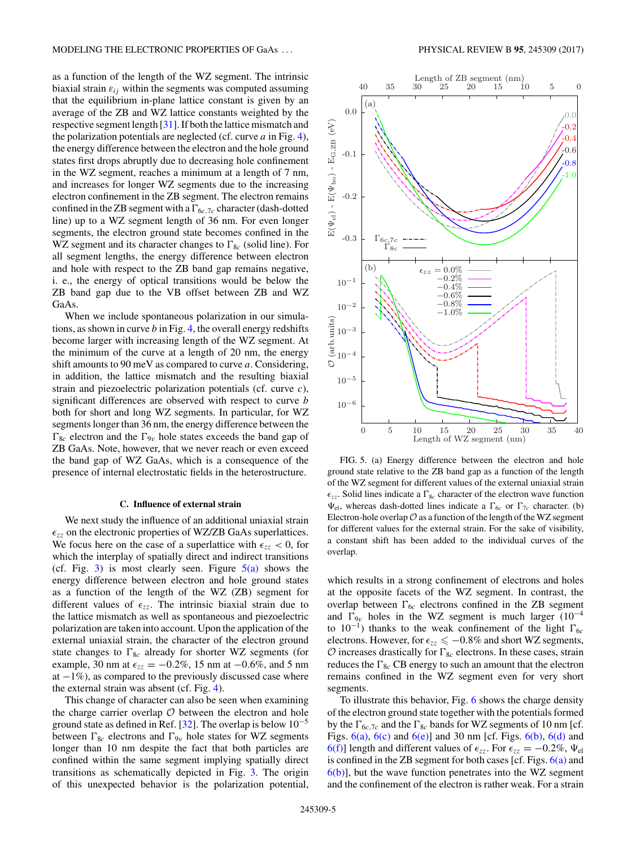as a function of the length of the WZ segment. The intrinsic biaxial strain  $\varepsilon_{ij}$  within the segments was computed assuming that the equilibrium in-plane lattice constant is given by an average of the ZB and WZ lattice constants weighted by the respective segment length [31]. If both the lattice mismatch and the polarization potentials are neglected (cf. curve *a* in Fig. 4), the energy difference between the electron and the hole ground states first drops abruptly due to decreasing hole confinement in the WZ segment, reaches a minimum at a length of 7 nm, and increases for longer WZ segments due to the increasing electron confinement in the ZB segment. The electron remains confined in the ZB segment with a  $\Gamma_{6c,7c}$  character (dash-dotted line) up to a WZ segment length of 36 nm. For even longer segments, the electron ground state becomes confined in the WZ segment and its character changes to  $\Gamma_{8c}$  (solid line). For all segment lengths, the energy difference between electron and hole with respect to the ZB band gap remains negative, i. e., the energy of optical transitions would be below the ZB band gap due to the VB offset between ZB and WZ GaAs.

When we include spontaneous polarization in our simulations, as shown in curve *b* in Fig. 4, the overall energy redshifts become larger with increasing length of the WZ segment. At the minimum of the curve at a length of 20 nm, the energy shift amounts to 90 meV as compared to curve *a*. Considering, in addition, the lattice mismatch and the resulting biaxial strain and piezoelectric polarization potentials (cf. curve *c*), significant differences are observed with respect to curve *b* both for short and long WZ segments. In particular, for WZ segments longer than 36 nm, the energy difference between the  $\Gamma_{8c}$  electron and the  $\Gamma_{9v}$  hole states exceeds the band gap of ZB GaAs. Note, however, that we never reach or even exceed the band gap of WZ GaAs, which is a consequence of the presence of internal electrostatic fields in the heterostructure.

#### **C. Influence of external strain**

We next study the influence of an additional uniaxial strain  $\epsilon_{zz}$  on the electronic properties of WZ/ZB GaAs superlattices. We focus here on the case of a superlattice with  $\epsilon_{zz}$  < 0, for which the interplay of spatially direct and indirect transitions (cf. Fig. 3) is most clearly seen. Figure  $5(a)$  shows the energy difference between electron and hole ground states as a function of the length of the WZ (ZB) segment for different values of  $\epsilon_{zz}$ . The intrinsic biaxial strain due to the lattice mismatch as well as spontaneous and piezoelectric polarization are taken into account. Upon the application of the external uniaxial strain, the character of the electron ground state changes to  $\Gamma_{8c}$  already for shorter WZ segments (for example, 30 nm at  $\epsilon_{zz} = -0.2\%$ , 15 nm at  $-0.6\%$ , and 5 nm at  $-1\%$ ), as compared to the previously discussed case where the external strain was absent (cf. Fig. 4).

This change of character can also be seen when examining the charge carrier overlap  $O$  between the electron and hole ground state as defined in Ref. [32]. The overlap is below  $10^{-5}$ between  $\Gamma_{8c}$  electrons and  $\Gamma_{9v}$  hole states for WZ segments longer than 10 nm despite the fact that both particles are confined within the same segment implying spatially direct transitions as schematically depicted in Fig. 3. The origin of this unexpected behavior is the polarization potential,



FIG. 5. (a) Energy difference between the electron and hole ground state relative to the ZB band gap as a function of the length of the WZ segment for different values of the external uniaxial strain  $\epsilon_{zz}$ . Solid lines indicate a  $\Gamma_{8c}$  character of the electron wave function  $\Psi_{el}$ , whereas dash-dotted lines indicate a  $\Gamma_{6c}$  or  $\Gamma_{7c}$  character. (b) Electron-hole overlap  $\mathcal O$  as a function of the length of the WZ segment for different values for the external strain. For the sake of visibility, a constant shift has been added to the individual curves of the overlap.

which results in a strong confinement of electrons and holes at the opposite facets of the WZ segment. In contrast, the overlap between  $\Gamma_{6c}$  electrons confined in the ZB segment and  $\Gamma_{9v}$  holes in the WZ segment is much larger (10<sup>-4</sup> to  $10^{-1}$ ) thanks to the weak confinement of the light  $\Gamma_{6c}$ electrons. However, for  $\epsilon_{zz} \leq -0.8\%$  and short WZ segments,  $\mathcal{O}$  increases drastically for  $\Gamma_{8c}$  electrons. In these cases, strain reduces the  $\Gamma_{8c}$  CB energy to such an amount that the electron remains confined in the WZ segment even for very short segments.

To illustrate this behavior, Fig. 6 shows the charge density of the electron ground state together with the potentials formed by the  $\Gamma_{6c,7c}$  and the  $\Gamma_{8c}$  bands for WZ segments of 10 nm [cf. Figs.  $6(a)$ ,  $6(c)$  and  $6(e)$ ] and 30 nm [cf. Figs.  $6(b)$ ,  $6(d)$  and 6(f)] length and different values of  $\epsilon_{zz}$ . For  $\epsilon_{zz} = -0.2\%$ ,  $\Psi_{el}$ is confined in the ZB segment for both cases  $[cf. Figs. 6(a)$  and  $6(b)$ ], but the wave function penetrates into the WZ segment and the confinement of the electron is rather weak. For a strain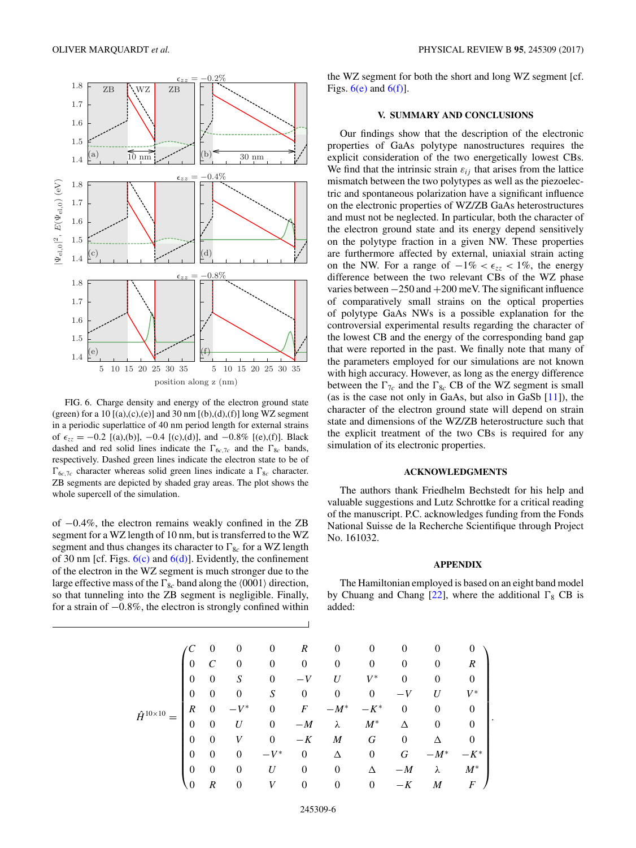

FIG. 6. Charge density and energy of the electron ground state (green) for a 10  $[(a),(c),(e)]$  and 30 nm  $[(b),(d),(f)]$  long WZ segment in a periodic superlattice of 40 nm period length for external strains of  $\epsilon_{zz} = -0.2$  [(a),(b)], -0.4 [(c),(d)], and  $-0.8\%$  [(e),(f)]. Black dashed and red solid lines indicate the  $\Gamma_{6c,7c}$  and the  $\Gamma_{8c}$  bands, respectively. Dashed green lines indicate the electron state to be of  $\Gamma_{6c,7c}$  character whereas solid green lines indicate a  $\Gamma_{8c}$  character. ZB segments are depicted by shaded gray areas. The plot shows the whole supercell of the simulation.

of −0*.*4%, the electron remains weakly confined in the ZB segment for a WZ length of 10 nm, but is transferred to the WZ segment and thus changes its character to  $\Gamma_{8c}$  for a WZ length of 30 nm [cf. Figs.  $6(c)$  and  $6(d)$ ]. Evidently, the confinement of the electron in the WZ segment is much stronger due to the large effective mass of the  $\Gamma_{8c}$  band along the  $\langle 0001 \rangle$  direction, so that tunneling into the ZB segment is negligible. Finally, for a strain of −0*.*8%, the electron is strongly confined within the WZ segment for both the short and long WZ segment [cf. Figs.  $6(e)$  and  $6(f)$ ].

### **V. SUMMARY AND CONCLUSIONS**

Our findings show that the description of the electronic properties of GaAs polytype nanostructures requires the explicit consideration of the two energetically lowest CBs. We find that the intrinsic strain  $\varepsilon_{ij}$  that arises from the lattice mismatch between the two polytypes as well as the piezoelectric and spontaneous polarization have a significant influence on the electronic properties of WZ/ZB GaAs heterostructures and must not be neglected. In particular, both the character of the electron ground state and its energy depend sensitively on the polytype fraction in a given NW. These properties are furthermore affected by external, uniaxial strain acting on the NW. For a range of  $-1\% < \epsilon_{zz} < 1\%$ , the energy difference between the two relevant CBs of the WZ phase varies between −250 and +200 meV. The significant influence of comparatively small strains on the optical properties of polytype GaAs NWs is a possible explanation for the controversial experimental results regarding the character of the lowest CB and the energy of the corresponding band gap that were reported in the past. We finally note that many of the parameters employed for our simulations are not known with high accuracy. However, as long as the energy difference between the  $\Gamma_{7c}$  and the  $\Gamma_{8c}$  CB of the WZ segment is small (as is the case not only in GaAs, but also in GaSb [11]), the character of the electron ground state will depend on strain state and dimensions of the WZ/ZB heterostructure such that the explicit treatment of the two CBs is required for any simulation of its electronic properties.

## **ACKNOWLEDGMENTS**

The authors thank Friedhelm Bechstedt for his help and valuable suggestions and Lutz Schrottke for a critical reading of the manuscript. P.C. acknowledges funding from the Fonds National Suisse de la Recherche Scientifique through Project No. 161032.

## **APPENDIX**

The Hamiltonian employed is based on an eight band model by Chuang and Chang  $[22]$ , where the additional  $\Gamma_8$  CB is added:

|                        |                  | $\theta$         | 0              | 0                                 | R        | $\overline{0}$   | 0        | 0              |                  | O              |
|------------------------|------------------|------------------|----------------|-----------------------------------|----------|------------------|----------|----------------|------------------|----------------|
| $\hat{H}^{10\times10}$ | 0                |                  | $\overline{0}$ | 0                                 | $\theta$ | $\theta$         | 0        | 0              |                  | R              |
|                        | 0                | 0                | S              | 0                                 |          | U                | $V^*$    | $\overline{0}$ | 0                | $\overline{0}$ |
|                        | $\theta$         | 0                | 0              | S                                 | $\theta$ | $\overline{0}$   | $\theta$ |                | $\boldsymbol{U}$ | $V^{\ast}$     |
|                        | $\boldsymbol{R}$ | $\theta$         | $V^*$          | $\theta$                          | F        | $-M^*$           | $-K^*$   | $\overline{0}$ | 0                | 0              |
|                        | $\theta$         | 0                | U              | $\theta$                          | $-M$     | λ                | $M^*$    | Δ              | 0                | 0              |
|                        | $\theta$         | $\theta$         |                | 0                                 | $-K$     | M                | G        | $\overline{0}$ |                  |                |
|                        | $\theta$         | $\theta$         | $\theta$       | $V^*$<br>$\overline{\phantom{0}}$ | $\theta$ | Δ                | $\theta$ | G              | $-M^*$           | $-K^*$         |
|                        | $\theta$         | $\theta$         | 0              | U                                 | 0        | $\boldsymbol{0}$ | Δ        | $-M$           | λ                | $M^*$          |
|                        | $\theta$         | $\boldsymbol{R}$ | 0              | V                                 | 0        | $\boldsymbol{0}$ | $\theta$ | K              | M                | F              |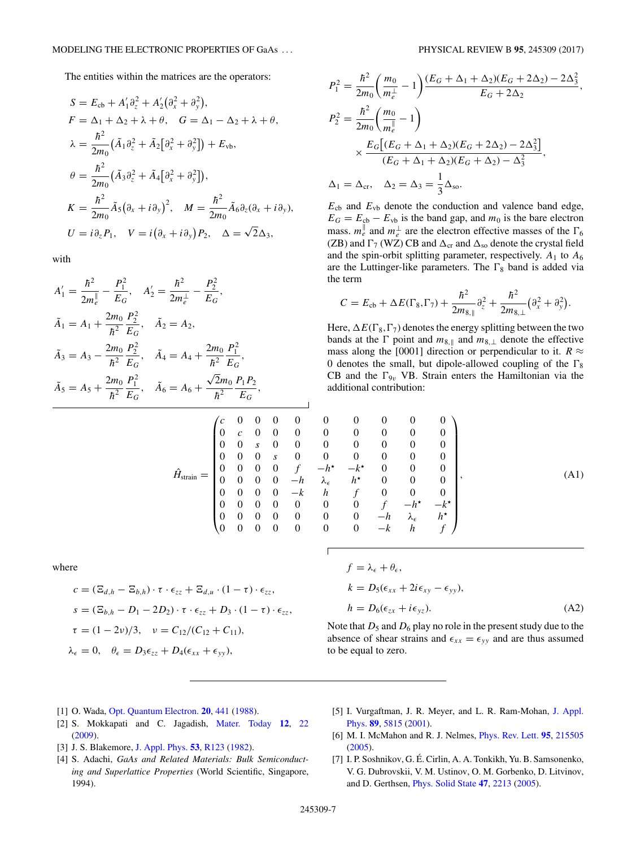The entities within the matrices are the operators:

$$
S = E_{cb} + A'_1 \partial_z^2 + A'_2 (\partial_x^2 + \partial_y^2),
$$
  
\n
$$
F = \Delta_1 + \Delta_2 + \lambda + \theta, \quad G = \Delta_1 - \Delta_2 + \lambda + \theta,
$$
  
\n
$$
\lambda = \frac{\hbar^2}{2m_0} (\tilde{A}_1 \partial_z^2 + \tilde{A}_2 [\partial_x^2 + \partial_y^2]) + E_{\text{vb}},
$$
  
\n
$$
\theta = \frac{\hbar^2}{2m_0} (\tilde{A}_3 \partial_z^2 + \tilde{A}_4 [\partial_x^2 + \partial_y^2]),
$$
  
\n
$$
K = \frac{\hbar^2}{2m_0} \tilde{A}_5 (\partial_x + i \partial_y)^2, \quad M = \frac{\hbar^2}{2m_0} \tilde{A}_6 \partial_z (\partial_x + i \partial_y),
$$
  
\n
$$
U = i \partial_z P_1, \quad V = i (\partial_x + i \partial_y) P_2, \quad \Delta = \sqrt{2} \Delta_3,
$$

with

$$
A'_{1} = \frac{\hbar^{2}}{2m_{e}^{\parallel}} - \frac{P_{1}^{2}}{E_{G}}, \quad A'_{2} = \frac{\hbar^{2}}{2m_{e}^{\perp}} - \frac{P_{2}^{2}}{E_{G}},
$$
  
\n
$$
\tilde{A}_{1} = A_{1} + \frac{2m_{0}}{\hbar^{2}} \frac{P_{2}^{2}}{E_{G}}, \quad \tilde{A}_{2} = A_{2},
$$
  
\n
$$
\tilde{A}_{3} = A_{3} - \frac{2m_{0}}{\hbar^{2}} \frac{P_{2}^{2}}{E_{G}}, \quad \tilde{A}_{4} = A_{4} + \frac{2m_{0}}{\hbar^{2}} \frac{P_{1}^{2}}{E_{G}},
$$
  
\n
$$
\tilde{A}_{5} = A_{5} + \frac{2m_{0}}{\hbar^{2}} \frac{P_{1}^{2}}{E_{G}}, \quad \tilde{A}_{6} = A_{6} + \frac{\sqrt{2}m_{0}}{\hbar^{2}} \frac{P_{1}P_{2}}{E_{G}},
$$
  
\n(c 0 0 0 0

$$
\hat{H}_{\text{strain}} = \begin{pmatrix}\n0 & c & 0 & 0 & 0 & 0 \\
0 & c & 0 & 0 & 0 & 0 \\
0 & 0 & s & 0 & 0 & 0 \\
0 & 0 & 0 & 0 & s & 0 \\
0 & 0 & 0 & 0 & -h & 0 \\
0 & 0 & 0 & 0 & -k & 0 \\
0 & 0 & 0 & 0 & 0 & 0 \\
0 & 0 & 0 & 0 & 0 & 0 \\
0 & 0 & 0 & 0 & 0 & 0\n\end{pmatrix}
$$

┘

where

$$
c = (\Xi_{d,h} - \Xi_{b,h}) \cdot \tau \cdot \epsilon_{zz} + \Xi_{d,u} \cdot (1 - \tau) \cdot \epsilon_{zz},
$$
  
\n
$$
s = (\Xi_{b,h} - D_1 - 2D_2) \cdot \tau \cdot \epsilon_{zz} + D_3 \cdot (1 - \tau) \cdot \epsilon_{zz},
$$
  
\n
$$
\tau = (1 - 2\nu)/3, \quad \nu = C_{12}/(C_{12} + C_{11}),
$$
  
\n
$$
\lambda_{\epsilon} = 0, \quad \theta_{\epsilon} = D_3 \epsilon_{zz} + D_4(\epsilon_{xx} + \epsilon_{yy}),
$$

$$
P_1^2 = \frac{\hbar^2}{2m_0} \left( \frac{m_0}{m_e^{\perp}} - 1 \right) \frac{(E_G + \Delta_1 + \Delta_2)(E_G + 2\Delta_2) - 2\Delta_3^2}{E_G + 2\Delta_2},
$$
  
\n
$$
P_2^2 = \frac{\hbar^2}{2m_0} \left( \frac{m_0}{m_e^{\parallel}} - 1 \right)
$$
  
\n
$$
\times \frac{E_G \left[ (E_G + \Delta_1 + \Delta_2)(E_G + 2\Delta_2) - 2\Delta_3^2 \right]}{(E_G + \Delta_1 + \Delta_2)(E_G + \Delta_2) - \Delta_3^2},
$$
  
\n
$$
\Delta_1 = \Delta_{cr}, \quad \Delta_2 = \Delta_3 = \frac{1}{3} \Delta_{so}.
$$

 $E<sub>cb</sub>$  and  $E<sub>vb</sub>$  denote the conduction and valence band edge,  $E_G = E_{cb} - E_{vb}$  is the band gap, and  $m_0$  is the bare electron mass.  $m_e^{\parallel}$  and  $m_e^{\perp}$  are the electron effective masses of the  $\Gamma_6$ (ZB) and  $\Gamma$ <sub>7</sub> (WZ) CB and  $\Delta$ <sub>cr</sub> and  $\Delta$ <sub>so</sub> denote the crystal field and the spin-orbit splitting parameter, respectively.  $A_1$  to  $A_6$ are the Luttinger-like parameters. The  $\Gamma_8$  band is added via the term

$$
C = E_{cb} + \Delta E(\Gamma_8, \Gamma_7) + \frac{\hbar^2}{2m_{8,\parallel}} \partial_z^2 + \frac{\hbar^2}{2m_{8,\perp}} (\partial_x^2 + \partial_y^2).
$$

Here,  $\Delta E(\Gamma_8, \Gamma_7)$  denotes the energy splitting between the two bands at the  $\Gamma$  point and  $m_{8, \parallel}$  and  $m_{8, \perp}$  denote the effective mass along the [0001] direction or perpendicular to it.  $R \approx$ 0 denotes the small, but dipole-allowed coupling of the  $\Gamma_8$ CB and the  $\Gamma_{9v}$  VB. Strain enters the Hamiltonian via the additional contribution:

$$
\begin{pmatrix}\nc & 0 & 0 & 0 & 0 & 0 & 0 & 0 & 0 & 0 \\
0 & c & 0 & 0 & 0 & 0 & 0 & 0 & 0 & 0 \\
0 & 0 & s & 0 & 0 & 0 & 0 & 0 & 0 & 0 \\
0 & 0 & 0 & s & 0 & 0 & 0 & 0 & 0 & 0 \\
0 & 0 & 0 & 0 & f & -h^* & -k^* & 0 & 0 & 0 \\
0 & 0 & 0 & 0 & -h & \lambda_{\epsilon} & h^* & 0 & 0 & 0 \\
0 & 0 & 0 & 0 & 0 & 0 & 0 & f & -h^* & -k^* \\
0 & 0 & 0 & 0 & 0 & 0 & 0 & -h & \lambda_{\epsilon} & h^* \\
0 & 0 & 0 & 0 & 0 & 0 & 0 & -k & h & f\n\end{pmatrix},
$$
\n(A1)

$$
f = \lambda_{\epsilon} + \theta_{\epsilon},
$$
  
\n
$$
k = D_5(\epsilon_{xx} + 2i\epsilon_{xy} - \epsilon_{yy}),
$$
  
\n
$$
h = D_6(\epsilon_{zx} + i\epsilon_{yz}).
$$
\n(A2)

Note that  $D_5$  and  $D_6$  play no role in the present study due to the absence of shear strains and  $\epsilon_{xx} = \epsilon_{yy}$  and are thus assumed to be equal to zero.

- [1] O. Wada, Opt. Quantum Electron. **20**, 441 (1988).
- [2] S. Mokkapati and C. Jagadish, Mater. Today **12**, 22 (2009).
- [3] J. S. Blakemore, J. Appl. Phys. **53**, R123 (1982).
- [4] S. Adachi, *GaAs and Related Materials: Bulk Semiconducting and Superlattice Properties* (World Scientific, Singapore, 1994).
- [5] I. Vurgaftman, J. R. Meyer, and L. R. Ram-Mohan, J. Appl. Phys. **89**, 5815 (2001).
- [6] M. I. McMahon and R. J. Nelmes, Phys. Rev. Lett. **95**, 215505 (2005).
- [7] I. P. Soshnikov, G. É. Cirlin, A. A. Tonkikh, Yu. B. Samsonenko, V. G. Dubrovskii, V. M. Ustinov, O. M. Gorbenko, D. Litvinov, and D. Gerthsen, Phys. Solid State **47**, 2213 (2005).